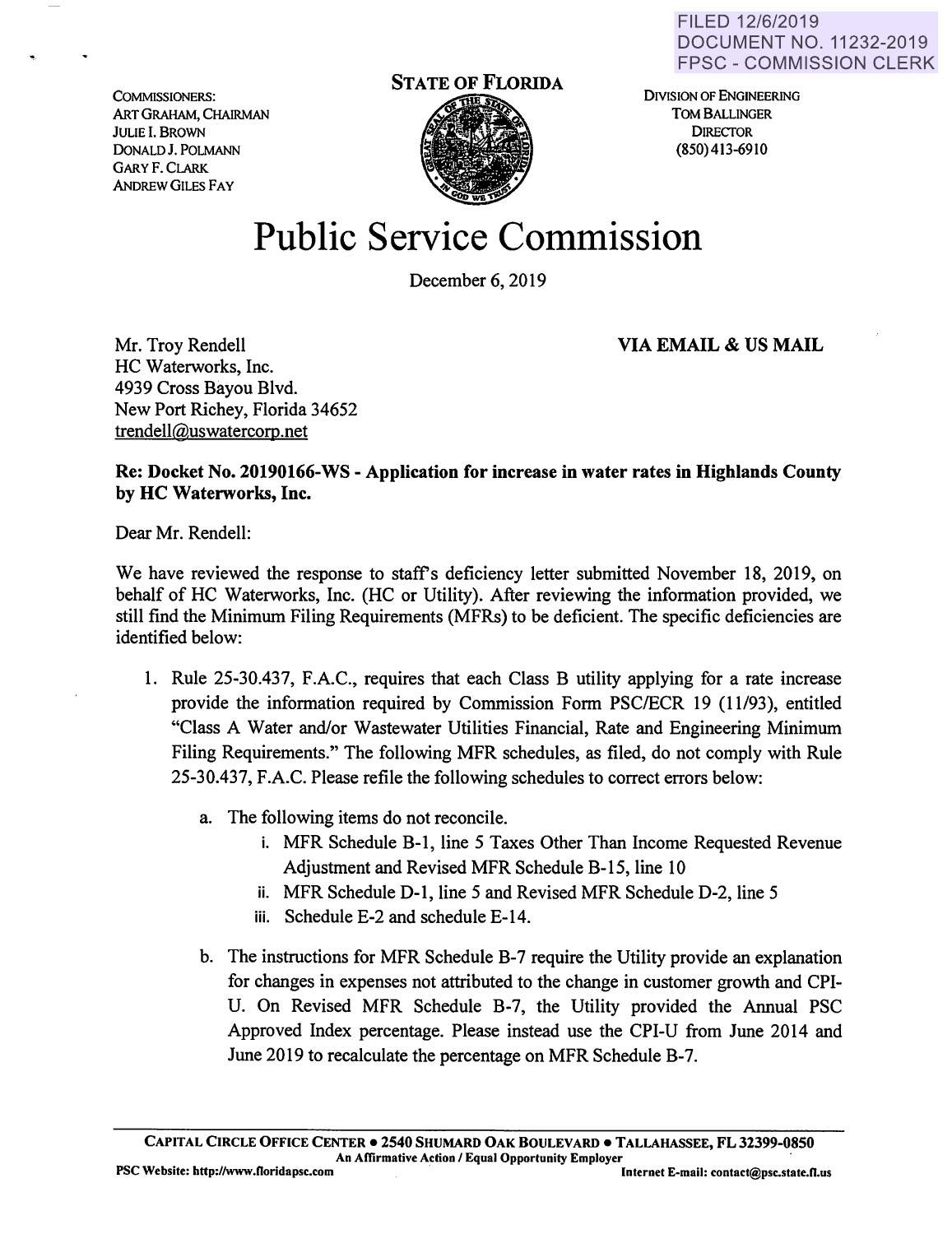FILED 12/6/2019 DOCUMENT NO. 11232-2019 FPSC - COMMISSION CLERK

COMMISSIONERS: ART GRAHAM, CHAIRMAN JULIE I. BROWN DONALDJ. POLMANN GARY F. CLARK ANDREW GILES FAY



DIVISION OF ENGINEERING TOM BALLINGER **DIRECTOR** (850) 413-69 IO

## **Public Service Commission**

December 6, 2019

**VIA EMAIL** & **US MAIL** 

Mr. Troy Rendell HC Waterworks, Inc. 4939 Cross Bayou Blvd. New Port Richey, Florida 34652 trendell@uswatercorp.net

**Re: Docket No. 20190166-WS** - **Application for increase in water rates in Highlands County**  by HC Waterworks, Inc.

Dear Mr. Rendell:

We have reviewed the response to staff's deficiency letter submitted November 18, 2019, on behalf of HC Waterworks, Inc. (HC or Utility). After reviewing the information provided, we still find the Minimum Filing Requirements (MFRs) to be deficient. The specific deficiencies are identified below:

- 1. Rule 25-30.437, F.A.C., requires that each Class B utility applying for a rate increase provide the information required by Commission Form PSC/ECR 19 (11/93), entitled "Class A Water and/or Wastewater Utilities Financial, Rate and Engineering Minimum Filing Requirements." The following MFR schedules, as filed, do not comply with Rule 25-30.437, F.A.C. Please refile the following schedules to correct errors below:
	- a. The following items do not reconcile.
		- i. MFR Schedule B-1, line 5 Taxes Other Than Income Requested Revenue Adjustment and Revised MFR Schedule B-15, line 10
		- ii. MFR Schedule D-1, line 5 and Revised MFR Schedule D-2, line 5
		- iii. Schedule E-2 and schedule E-14.
	- b. The instructions for MFR Schedule B-7 require the Utility provide an explanation for changes in expenses not attributed to the change in customer growth and CPI-U. On Revised MFR Schedule B-7, the Utility provided the Annual PSC Approved Index percentage. Please instead use the CPI-U from June 2014 and June 2019 to recalculate the percentage on MFR Schedule B-7.